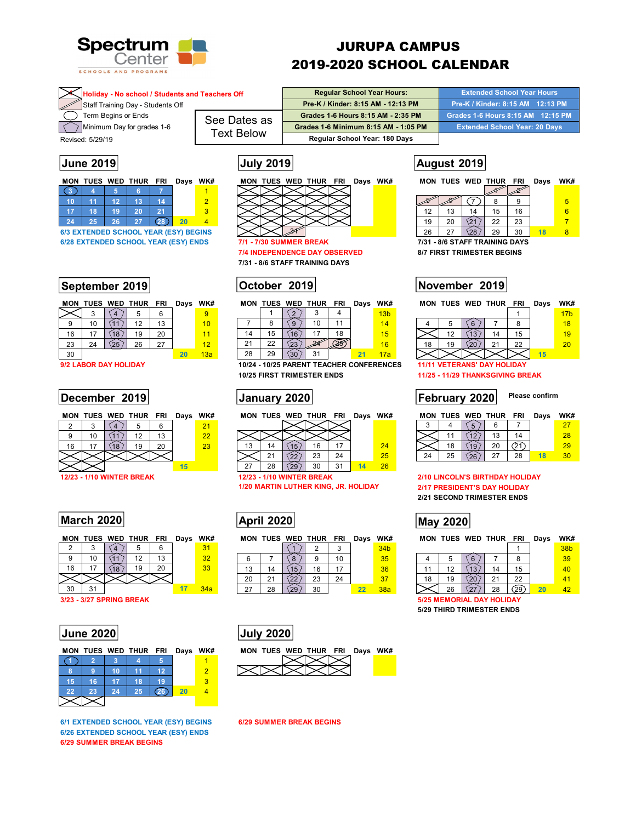

# JURUPA CAMPUS 2019-2020 SCHOOL CALENDAR

| Holiday - No school / Students and Teachers Off |                   | <b>Regular School Year Hours:</b>    | <b>Extended School Year Hours</b> '  |
|-------------------------------------------------|-------------------|--------------------------------------|--------------------------------------|
| Staff Training Day - Students Off               |                   | Pre-K / Kinder: 8:15 AM - 12:13 PM   | Pre-K / Kinder: 8:15 AM 12:13 PM     |
| Term Begins or Ends                             | See Dates as      | Grades 1-6 Hours 8:15 AM - 2:35 PM   | Grades 1-6 Hours 8:15 AM 12:15 PM    |
| Minimum Day for grades 1-6                      |                   | Grades 1-6 Minimum 8:15 AM - 1:05 PM | <b>Extended School Year: 20 Days</b> |
| Revised: 5/29/19                                | <b>Text Below</b> | Regular School Year: 180 Days        |                                      |
|                                                 |                   |                                      |                                      |

| MON | TUES WED THUR |    |    | <b>FRI</b> | Days | WK |
|-----|---------------|----|----|------------|------|----|
|     |               |    |    |            |      |    |
| 10  |               | 12 | 13 | 14         |      |    |
| 17  | 18            | 19 | 20 | 21         |      |    |
| 24  | 25            | 26 | 27 | 28         | 20   |    |

**6/3 EXTENDED SCHOOL YEAR (ESY) BEGINS 6/28 EXTENDED SCHOOL YEAR (ESY) ENDS 7/1 - 7/30 SUMMER BREAK 7/31 - 8/6 STAFF TRAINING DAYS** 

# **September 2019 October 2019 November 2019**

|    |    |    | MON TUES WED THUR FRI |    | Days | WK# |  |
|----|----|----|-----------------------|----|------|-----|--|
|    |    |    | 5                     | 6  |      |     |  |
| 9  | 10 |    | 12                    | 13 |      | 10  |  |
| 16 | 17 | 18 | 19                    | 20 |      | 11  |  |
| 23 | 24 |    | 26                    | 27 |      | 12  |  |
| 30 |    |    |                       |    | 20   | 13a |  |

**9/2 LABOR DAY HOLIDAY** 

## **December 2019 CONFIDENTIAL SETTLE ISSUES ATTACK ATTES USES** THE USE **PERIMENT ISSUES**

|    |    |    | MON TUES WED THUR FRI Days WK# |    |    |    | MО |
|----|----|----|--------------------------------|----|----|----|----|
|    |    |    |                                |    |    | 21 |    |
|    | 10 |    | 12                             | 13 |    | 22 |    |
| 16 |    | 18 | 19                             |    |    | 23 | 13 |
|    |    |    |                                |    |    |    |    |
|    |    |    |                                |    | 15 |    |    |

# **March 2020 May 2020 May 2020**

|    |    |    | MON TUES WED THUR FRI |    | Days | WK# |  |
|----|----|----|-----------------------|----|------|-----|--|
|    |    |    |                       |    |      | 31  |  |
| 9  | 10 |    | 12                    | 13 |      | 32  |  |
| 16 | 17 | 18 | 19                    | 20 |      | 33  |  |
|    |    |    |                       |    |      |     |  |
| 30 | 31 |    |                       |    | 17   | 34a |  |

**3/23 - 3/27 SPRING BREAK 5/25 MEMORIAL DAY HOLIDAY** 

|    |    |    |    | مطاء |    |  |
|----|----|----|----|------|----|--|
| 15 | 16 |    | 18 |      |    |  |
| 22 | 23 | 24 | 25 | (26) | 20 |  |
|    |    |    |    |      |    |  |

**6/1 EXTENDED SCHOOL YEAR (ESY) BEGINS 6/29 SUMMER BREAK BEGINS 6/26 EXTENDED SCHOOL YEAR (ESY) ENDS 6/29 SUMMER BREAK BEGINS** 



**7/4 INDEPENDENCE DAY OBSERVED 8/7 FIRST TRIMESTER BEGINS 7/31 - 8/6 STAFF TRAINING DAYS** 

# **October 2019**

|    |                               | MON TUES WED THUR | FRI | Days | WK#             | MON        |    | TUES WED THUR | <b>FRI</b> | Days | WK#                                      |  |    | MON TUES WED THUR           | FRI | Days | WK#             |
|----|-------------------------------|-------------------|-----|------|-----------------|------------|----|---------------|------------|------|------------------------------------------|--|----|-----------------------------|-----|------|-----------------|
|    |                               |                   |     |      |                 |            |    |               |            |      | 13 <sub>b</sub>                          |  |    |                             |     |      | 17 <sub>b</sub> |
|    | 10                            | 1 ິ               | 13  |      | 10 <sup>1</sup> |            |    |               |            |      | 14                                       |  |    |                             |     |      | 18              |
| 16 |                               | 19                | 20  |      |                 |            | 15 |               | 18         |      | 15                                       |  |    |                             | 15  |      | 19              |
| 23 | 24                            | 26                | 27  |      | 12              | $^{\circ}$ | 22 |               |            |      | 16                                       |  | 19 |                             | 22  |      | <b>20</b>       |
| 30 |                               |                   |     |      | 13a             | 28         | 29 | 31            |            |      |                                          |  |    |                             |     |      |                 |
|    | <b>1/2 באחו וראש או האם ה</b> |                   |     |      |                 |            |    |               |            |      | 10/24 - 10/25 PARENT TEACHER CONFERENCES |  |    | 44/44 VETERANS' NAV HOLINAV |     |      |                 |

**10/25 FIRST TRIMESTER ENDS 11/25 - 11/29 THANKSGIVING BREAK** 

|    |    |   | MON TUES WED THUR FRI |    | Days | WK# | МΟ |
|----|----|---|-----------------------|----|------|-----|----|
|    |    |   |                       |    |      |     |    |
|    |    |   |                       |    |      |     |    |
| 13 |    | ю | 16                    |    |      | 24  |    |
|    | 21 |   | 23                    | 24 |      | 25  | 24 |
|    |    |   |                       |    |      |     |    |

27 28 29 30 31 **14** 26

**1/20 MARTIN LUTHER KING, JR. HOLIDAY 2/17 PRESIDENT'S DAY HOLIDAY** 

| MUN |    |    | IUES WED INUR FRI |    | <b>Days</b> | VVM             |  |
|-----|----|----|-------------------|----|-------------|-----------------|--|
|     |    |    |                   |    |             | 34 <sub>b</sub> |  |
| 6   |    | 8  | 9                 | 10 |             | 35              |  |
| 13  | 14 | 15 | 16                |    |             | 36              |  |
| 20  | 21 | 22 | 23                | 24 |             | 37              |  |
| 27  | 28 | 29 | 30                |    | 22          | 38a             |  |







# |**June 2019 August 2019 August 2019 August 2019**

|  | <b>MON TUES WED THUR FRI Davs</b> |  | WK# |
|--|-----------------------------------|--|-----|
|  |                                   |  |     |

| 12 | 13 |     | 15 | 16 |  |
|----|----|-----|----|----|--|
| 19 | 20 |     | 22 | 23 |  |
| 26 |    | ∖∠ర | 29 |    |  |

|    | MON TUES WED THUR FRI              |    |    |    | Days | WK#             |  |
|----|------------------------------------|----|----|----|------|-----------------|--|
|    |                                    |    |    |    |      | 17 <sub>b</sub> |  |
|    | 5                                  | 6  |    | 8  |      | 18              |  |
|    | 12                                 | 13 | 14 | 15 |      | 19              |  |
| 18 | 19                                 |    | 21 | 22 |      | 20              |  |
|    |                                    |    |    |    | 15   |                 |  |
|    | <b>11/11 VETERANS' DAY HOLIDAY</b> |    |    |    |      |                 |  |
|    |                                    |    |    |    |      |                 |  |

# **Please confirm**

| MON |  | TUES WED THUR FRI |             | Days | WK#            | <b>MON</b> |  | TUES WED THUR | FRI | Days | WK# | MON | <b>TUES WED</b> |    | <b>THUR</b> | FRI       | Days | WK# |  |
|-----|--|-------------------|-------------|------|----------------|------------|--|---------------|-----|------|-----|-----|-----------------|----|-------------|-----------|------|-----|--|
|     |  |                   |             |      |                |            |  |               |     |      |     |     |                 |    |             |           |      |     |  |
|     |  |                   | $\sim$<br>J |      | $\Omega$<br>24 |            |  |               |     |      |     |     |                 |    |             |           |      | 28  |  |
|     |  | 10                | 20          |      |                | ט ו        |  | 16            |     |      | 24  |     |                 |    | 20          | د م<br>◟∠ |      | 29  |  |
|     |  |                   |             |      |                |            |  | ົດລ<br>د∠     | 24  |      | 25  | 24  | 25              | 26 | ר ה         | ററ<br>20  |      |     |  |

# **12/23 - 1/10 WINTER BREAK 12/23 - 1/10 WINTER BREAK 2/10 LINCOLN'S BIRTHDAY HOLIDAY**

**2/21 SECOND TRIMESTER ENDS** 

**MON TUES WED THUR FRI Days WK# MON TUES WED THUR FRI Days WK# MON TUES WED THUR FRI Days WK#** 

|    |    |     |    |     | 38 <sub>b</sub> |  |
|----|----|-----|----|-----|-----------------|--|
|    |    |     |    |     | 39              |  |
|    | 12 | ×   | 14 | 15  | 10              |  |
| 18 | 19 |     |    | 22  |                 |  |
|    | 26 | - 1 | 28 | (ZA |                 |  |

26 **27 28 29** 

**5/29 THIRD TRIMESTER ENDS**